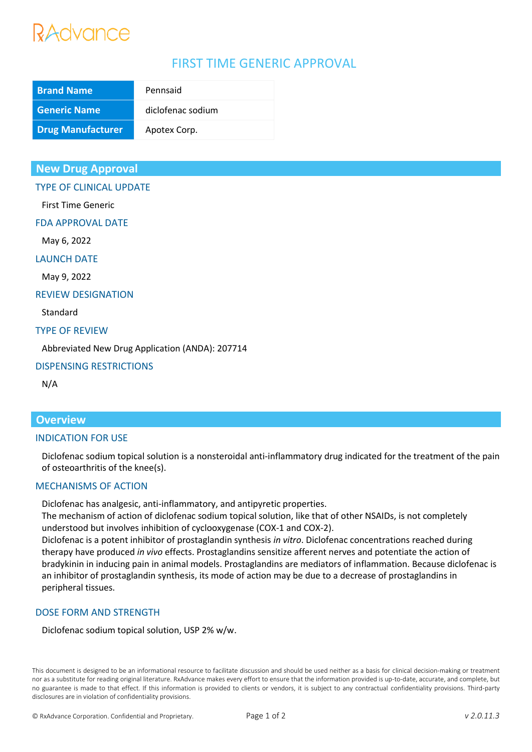# Advance

# FIRST TIME GENERIC APPROVAL

| <b>Brand Name</b>        | Pennsaid          |
|--------------------------|-------------------|
| <b>Generic Name</b>      | diclofenac sodium |
| <b>Drug Manufacturer</b> | Apotex Corp.      |

## **New Drug Approval**

TYPE OF CLINICAL UPDATE

First Time Generic

FDA APPROVAL DATE

May 6, 2022

LAUNCH DATE

May 9, 2022

#### REVIEW DESIGNATION

Standard

#### TYPE OF REVIEW

Abbreviated New Drug Application (ANDA): 207714

#### DISPENSING RESTRICTIONS

N/A

# **Overview**

#### INDICATION FOR USE

Diclofenac sodium topical solution is a nonsteroidal anti-inflammatory drug indicated for the treatment of the pain of osteoarthritis of the knee(s).

### MECHANISMS OF ACTION

Diclofenac has analgesic, anti-inflammatory, and antipyretic properties.

The mechanism of action of diclofenac sodium topical solution, like that of other NSAIDs, is not completely understood but involves inhibition of cyclooxygenase (COX-1 and COX-2).

Diclofenac is a potent inhibitor of prostaglandin synthesis *in vitro*. Diclofenac concentrations reached during therapy have produced *in vivo* effects. Prostaglandins sensitize afferent nerves and potentiate the action of bradykinin in inducing pain in animal models. Prostaglandins are mediators of inflammation. Because diclofenac is an inhibitor of prostaglandin synthesis, its mode of action may be due to a decrease of prostaglandins in peripheral tissues.

### DOSE FORM AND STRENGTH

Diclofenac sodium topical solution, USP 2% w/w.

This document is designed to be an informational resource to facilitate discussion and should be used neither as a basis for clinical decision-making or treatment nor as a substitute for reading original literature. RxAdvance makes every effort to ensure that the information provided is up-to-date, accurate, and complete, but no guarantee is made to that effect. If this information is provided to clients or vendors, it is subject to any contractual confidentiality provisions. Third-party disclosures are in violation of confidentiality provisions.